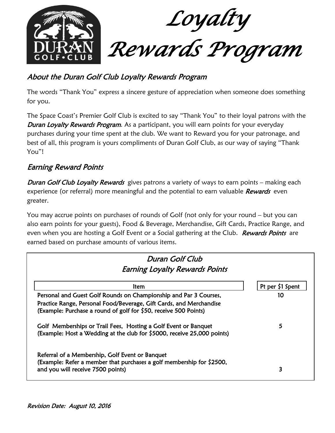

# About the Duran Golf Club Loyalty Rewards Program

The words "Thank You" express a sincere gesture of appreciation when someone does something for you.

The Space Coast's Premier Golf Club is excited to say "Thank You" to their loyal patrons with the **Duran Loyalty Rewards Program.** As a participant, you will earn points for your everyday purchases during your time spent at the club. We want to Reward you for your patronage, and best of all, this program is yours compliments of Duran Golf Club, as our way of saying "Thank You"!

## Earning Reward Points

**Duran Golf Club Loyalty Rewards** gives patrons a variety of ways to earn points – making each experience (or referral) more meaningful and the potential to earn valuable Rewards even greater.

You may accrue points on purchases of rounds of Golf (not only for your round – but you can also earn points for your guests), Food & Beverage, Merchandise, Gift Cards, Practice Range, and even when you are hosting a Golf Event or a Social gathering at the Club. Rewards Points are earned based on purchase amounts of various items.

| Duran Golf Club<br><b>Earning Loyalty Rewards Points</b>                                                                                                      |                  |
|---------------------------------------------------------------------------------------------------------------------------------------------------------------|------------------|
| ltem                                                                                                                                                          | Pt per \$1 Spent |
| Personal and Guest Golf Rounds on Championship and Par 3 Courses,                                                                                             | 10               |
| Practice Range, Personal Food/Beverage, Gift Cards, and Merchandise<br>(Example: Purchase a round of golf for \$50, receive 500 Points)                       |                  |
| Golf Memberships or Trail Fees, Hosting a Golf Event or Banquet<br>(Example: Host a Wedding at the club for \$5000, receive 25,000 points)                    | 5                |
| Referral of a Membership, Golf Event or Banquet<br>(Example: Refer a member that purchases a golf membership for \$2500,<br>and you will receive 7500 points) | 3                |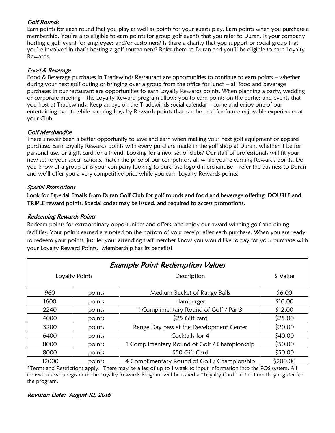#### Golf Rounds

Earn points for each round that you play as well as points for your guests play. Earn points when you purchase a membership. You're also eligible to earn points for group golf events that you refer to Duran. Is your company hosting a golf event for employees and/or customers? Is there a charity that you support or social group that you're involved in that's hosting a golf tournament? Refer them to Duran and you'll be eligible to earn Loyalty Rewards.

#### Food & Beverage

Food & Beverage purchases in Tradewinds Restaurant are opportunities to continue to earn points – whether during your next golf outing or bringing over a group from the office for lunch – all food and beverage purchases in our restaurant are opportunities to earn Loyalty Rewards points. When planning a party, wedding or corporate meeting – the Loyalty Reward program allows you to earn points on the parties and events that you host at Tradewinds. Keep an eye on the Tradewinds social calendar – come and enjoy one of our entertaining events while accruing Loyalty Rewards points that can be used for future enjoyable experiences at your Club.

#### Golf Merchandise

There's never been a better opportunity to save and earn when making your next golf equipment or apparel purchase. Earn Loyalty Rewards points with every purchase made in the golf shop at Duran, whether it be for personal use, or a gift card for a friend. Looking for a new set of clubs? Our staff of professionals will fit your new set to your specifications, match the price of our competitors all while you're earning Rewards points. Do you know of a group or is your company looking to purchase logo'd merchandise – refer the business to Duran and we'll offer you a very competitive price while you earn Loyalty Rewards points.

#### Special Promotions

#### Look for Especial Emails from Duran Golf Club for golf rounds and food and beverage offering DOUBLE and TRIPLE reward points. Special codes may be issued, and required to access promotions.

#### Redeeming Rewards Points

Redeem points for extraordinary opportunities and offers, and enjoy our award winning golf and dining facilities. Your points earned are noted on the bottom of your receipt after each purchase. When you are ready to redeem your points, just let your attending staff member know you would like to pay for your purchase with your Loyalty Reward Points. Membership has its benefits!

| <b>Example Point Redemption Values</b> |                |                                              |          |
|----------------------------------------|----------------|----------------------------------------------|----------|
|                                        | Loyalty Points | Description                                  | \$ Value |
| 960                                    | points         | Medium Bucket of Range Balls                 | \$6.00   |
| 1600                                   | points         | Hamburger                                    | \$10.00  |
| 2240                                   | points         | 1 Complimentary Round of Golf / Par 3        | \$12.00  |
| 4000                                   | points         | \$25 Gift card                               | \$25.00  |
| 3200                                   | points         | Range Day pass at the Development Center     | \$20.00  |
| 6400                                   | points         | Cocktails for 4                              | \$40.00  |
| 8000                                   | points         | 1 Complimentary Round of Golf / Championship | \$50.00  |
| 8000                                   | points         | \$50 Gift Card                               | \$50.00  |
| 32000                                  | points         | 4 Complimentary Round of Golf / Championship | \$200.00 |

\*Terms and Restrictions apply. There may be a lag of up to 1 week to input information into the POS system. All individuals who register in the Loyalty Rewards Program will be issued a "Loyalty Card" at the time they register for the program.

#### Revision Date: August 10, 2016